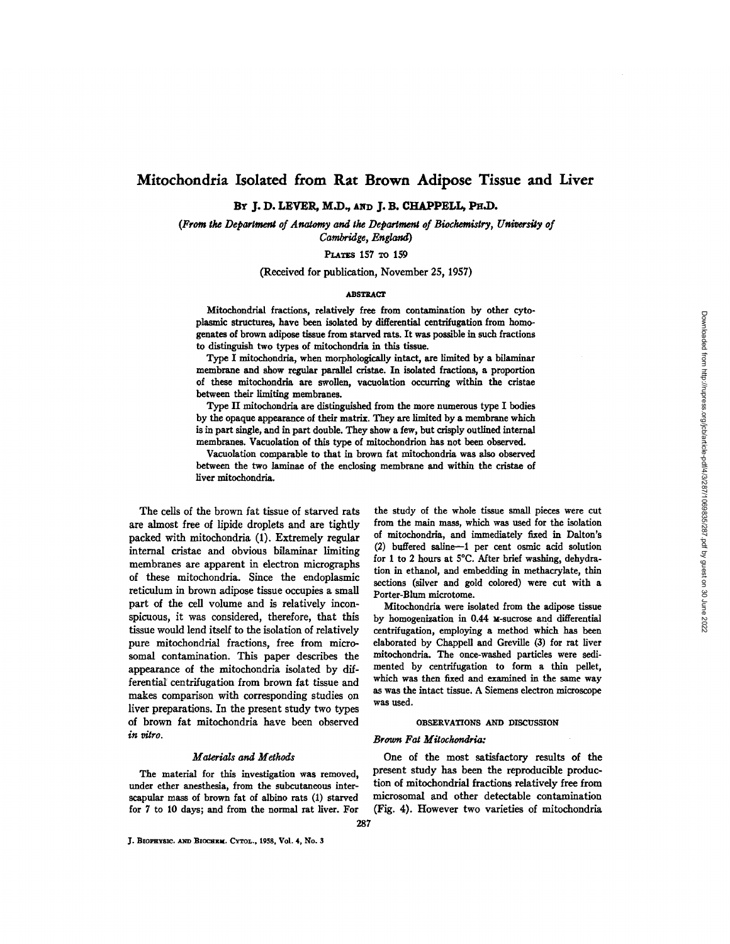# **Mitochondria Isolated from Rat Brown Adipose Tissue and Liver**

BY J. D. LEVER, M.D., AND J. B. CHAPPELL, PH.D.

*(From the Departmenl of Anatomy and the Department of Biochemistry, University of Cambridge, England)* 

PLATES 157 TO 159

(Received for publication, November 25, 1957)

### ABSTRACT

Mitochondrial fractions, relatively free from contsmination by other cytoplasmic structures, have been isolated by differential centrifugation from homogenates of brown adipose tissue from starved rats. It was possible in such fractions to distinguish two types of mitochondria in this tissue.

Type I mitochondria, when morphologically intact, are limited by a bilaminar membrane and show regular parallel cristae. In isolated fractions, a proportion of these mitochondria are swollen, vacuolation occurring within the cristae between their limiting membranes.

Type II mitochondria are distinguished from the more numerous type I bodies by the opaque appearance of their matrix. They are limited by a membrane which is in part single, and in part double. They show a few, but crisply outlined internal membranes. Vacuolation of this type of mitochondrion has not been observed.

Vacuolation comparable to that in brown fat mitochondria was also observed between the two laminae of the enclosing membrane and within the cristae of liver mitochondria.

The cells of the brown fat tissue of starved rats are almost free of lipide droplets and are tightly packed with mitochondria (1). Extremely regular internal cristae and obvious bilaminar limiting membranes are apparent in electron micrographs of these mitochondria. Since the endoplasmic reticulum in brown adipose tissue occupies a small part of the cell volume and is relatively inconspicuous, it was considered, therefore, that this tissue would lend itself to the isolation of relatively pure mitochondrial fractions, free from microsomal contamination. This paper describes the appearance of the mitochondria isolated by differential centrifugation from brown fat tissue and makes comparison with corresponding studies on liver preparations. In the present study two types of brown fat mitochondria have been observed *in vitro.* 

### *Materials and Methods*

The material for this investigation was removed, under ether anesthesia, from the subcutaneous interscapular mass of brown fat of albino rats (1) starved for 7 to 10 days; and from the normal rat liver. For

J. BIOPHYSIC. AND BIOCHEM. CYTOL., 1958, Vol. 4, No. 3

the study of the whole tissue small pieces were cut from the main mass, which was used for the isolation of mitochondria, and immediately fixed in Dalton's  $(2)$  buffered saline-1 per cent osmic acid solution for 1 to 2 hours at 5°C. After brief washing, dehydration in ethanol, and embedding in methacrylate, thin sections (silver and gold colored) were cut with a Porter-Blum microtome.

Mitochondria were isolated from the adipose tissue by homogenization in 0.44 M-sucrose and differential centrifugation, employing a method which has been elaborated by Chappell and Greville (3) for rat liver mitochondria. The once-washed particles were sedimented by centrifugation to form a thin pellet, which was then fixed and examined in the same way as was the intact tissue. A Siemens electron microscope was used.

### **OBSERVATIONS AND DISCUSSION**

# *Brown Fa~ Mitoch~ndria:*

One of the most satisfactory results of the present study has been the reproducible production of mitochondrial fractions relatively free from microsomal and other detectable contamination (Fig. 4). However two varieties of mitochondria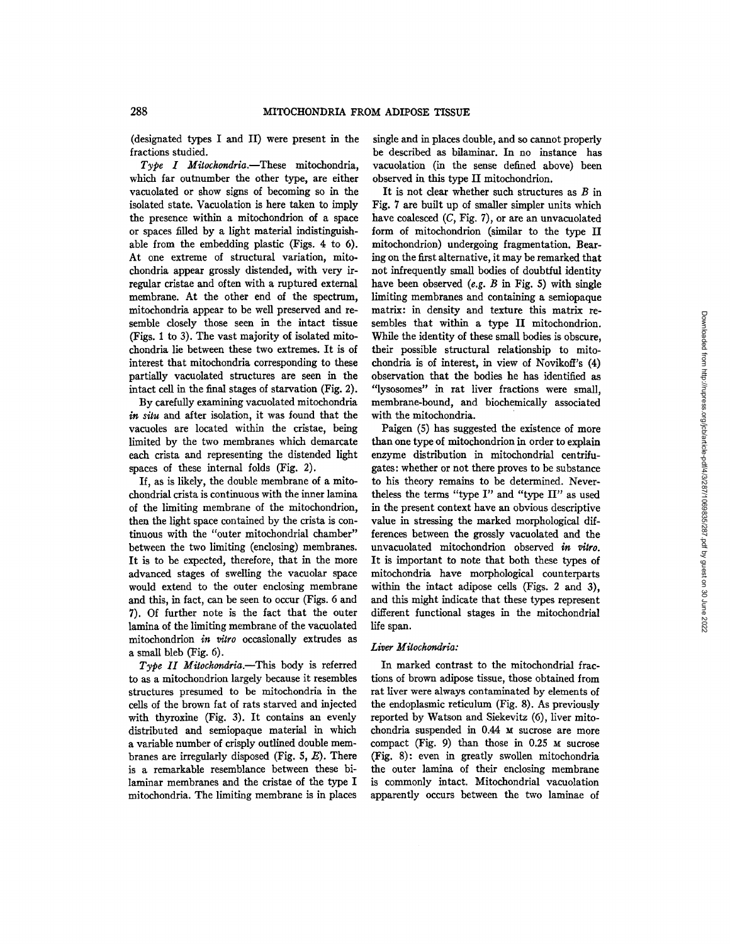(designated types I and II) were present in the fractions studied.

*Type I Mitochondria.--These* mitochondria, which far outnumber the other type, are either vacuolated or show signs of becoming so in the isolated state. Vacuolation is here taken to imply the presence within a mitochondrion of a space or spaces filled by a light material indistinguishable from the embedding plastic (Figs. 4 to 6). At one extreme of structural variation, mitochondria appear grossly distended, with very irregular cristae and often with a ruptured external membrane. At the other end of the spectrum, mitochondria appear to be well preserved and resemble closely those seen in the intact tissue (Figs. 1 to 3). The vast majority of isolated mitochondria lie between these two extremes. It is of interest that mitochondria corresponding to these partially vacuolated structures are seen in the intact cell in the final stages of starvation (Fig. 2).

By carefully examining vacuolated mitochondria *in situ* and after isolation, it was found that the vacuoles are located within the cristae, being limited by the two membranes which demarcate each crista and representing the distended light spaces of these internal folds (Fig. 2).

If, as is likely, the double membrane of a mitochondrial crista is continuous with the inner lamina of the limiting membrane of the mitochondrion, then the light space contained by the crista is continuous with the "outer mitochondrial chamber" between the two limiting (enclosing) membranes. It is to be expected, therefore, that in the more advanced stages of swelling the vacuolar space would extend to the outer enclosing membrane and this, in fact, can be seen to occur (Figs. 6 and 7). Of further note is the fact that the outer lamina of the limiting membrane of the vacuolated mitochondrion *in vitro* occasionally extrudes as a small bleb (Fig. 6).

*Type II Mitochondria.--This* body is referred to as a mitochondrion largely because it resembles structures presumed to be mitochondria in the cells of the brown fat of rats starved and injected with thyroxine (Fig. 3). It contains an evenly distributed and semiopaque material in which a variable number of crisply outlined double membranes are irregularly disposed (Fig.  $5, E$ ). There is a remarkable resemblance between these bilaminar membranes and the cristae of the type I mitochondria. The limiting membrane is in places single and in places double, and so cannot properly be described as bilaminar. In no instance has vacuolation (in the sense defined above) been observed in this type II mitochondrion.

It is not clear whether such structures as  $B$  in Fig. 7 are built up of smaller simpler units which have coalesced  $(C, Fig. 7)$ , or are an unvacuolated form of mitochondrion (similar to the type II mitochondrion) undergoing fragmentation. Bearing on the first alternative, it may be remarked that not infrequently small bodies of doubtful identity have been observed *(e.g. B* in Fig. 5) with single limiting membranes and containing a semiopaque matrix: in density and texture this matrix resembles that within a type II mitochondrion. While the identity of these small bodies is obscure, their possible structural relationship to mitochondria is of interest, in view of Novikoff's (4) observation that the bodies he has identified as "lysosomes" in rat liver fractions were small, membrane-bound, and biochemically associated with the mitochondria.

Paigen (5) has suggested the existence of more than one type of mitochondrion in order to explain enzyme distribution in mitochondrial centrifugates: whether or not there proves to be substance to his theory remains to be determined. Nevertheless the terms *"type I" and "type* II" as used in the present context have an obvious descriptive value in stressing the marked morphological differences between the grossly vacuolated and the unvacuolated mitochondrion observed *in vitro.*  It is important to note that both these types of mitochondria have morphological counterparts within the intact adipose cells (Figs. 2 and 3), and this might indicate that these types represent different functional stages in the mitochondrial life span.

### *Liver Mitochondria:*

In marked contrast to the mitochondrial fractions of brown adipose tissue, those obtained from rat liver were always contaminated by elements of the endoplasmic reticulum (Fig. 8). As previously reported by Watson and Siekevitz (6), liver mitochondria suspended in 0.44 M sucrose are more compact (Fig. 9) than those in  $0.25$   $M$  sucrose (Fig. 8): even in greatly swollen mitochondria the outer lamina of their enclosing membrane is commonly intact. Mitochondrial vacuolation apparently occurs between the two laminae of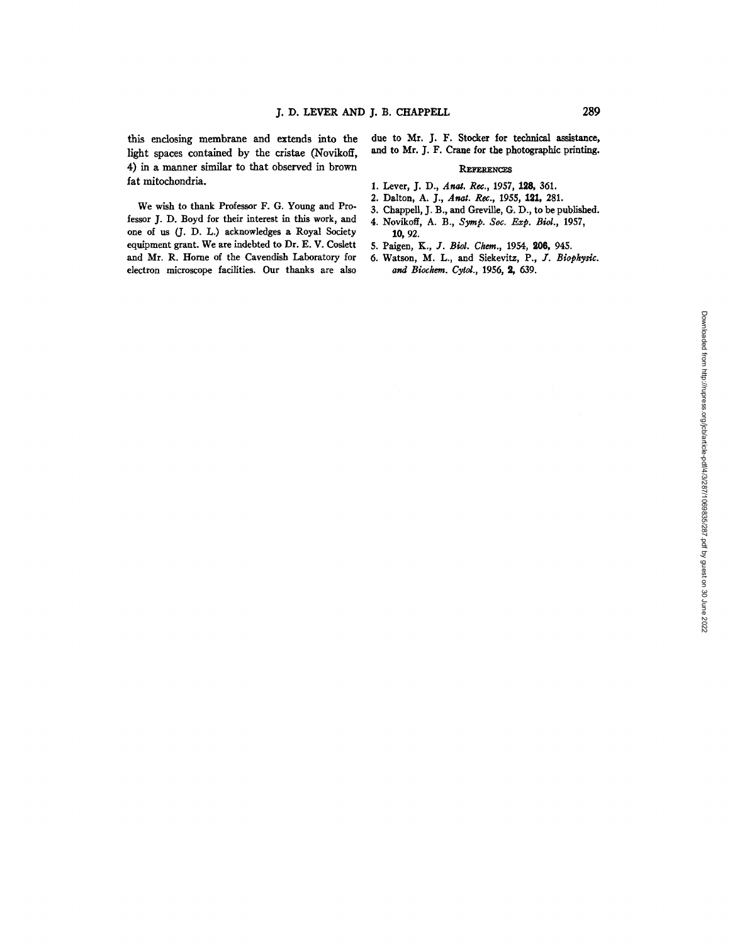this enclosing membrane and extends into the light spaces contained by the cristae (Novikoff, 4) in a manner similar to that observed in brown fat mitochondria.

We wish to thank Professor F. G. Young and Professor J. D. Boyd for their interest in this work, and one of us (J. D. L.) acknowledges a Royal Society equipment grant. We are indebted to Dr. E. V. Coslett and Mr. R. Home of the Cavendish Laboratory for electron microscope facilities. Our thanks are also

due to Mr. J. F. Stocker for technical assistance, and to Mr. J. F. Crane for the photographic printing.

### **REfeRENCES**

- 1. Lever, J. D., *Anal. Rec.,* 1957, 128, 361.
- 2. Dalton, *A. ]., Anal. Rec., 1955,* 191, 281.
- 3. Chappell, J. B., and Greville, G. D., to be published.
- 4. Novikoff, *A. B., Syrup. Soc. Exp. Biol.,* 1957, **10,** 92.
- 5. Paigen, *K., J. Biol. Chem.,* 1954, 206, 945.
- 6. Watson, M. L., and Siekevitz, P., 3". *Biophysic. and Biochem. Cytol.,* 1956, 2, 639.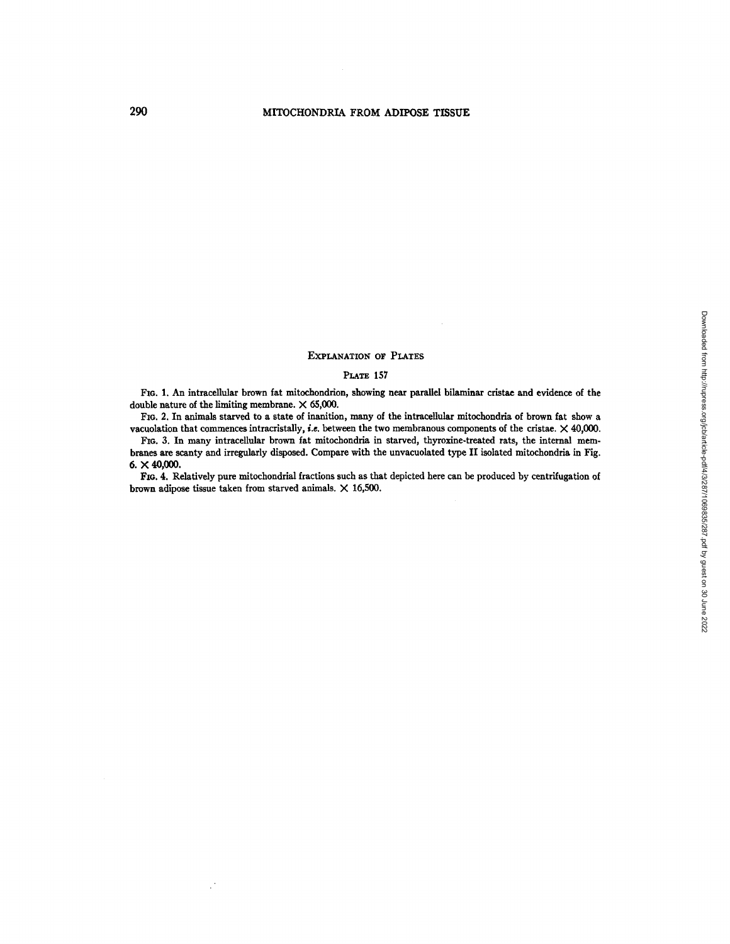## EXPLANATION OF PLATES

# PLATE 157

FIG. 1. An intracellular brown fat mitochondrion, showing near parallel bilaminar cristae and evidence of the double nature of the limiting membrane.  $\times$  65,000.

FIG. 2. In animals starved to a state of inanition, many of the intracellular mitochondria of brown fat show a vacuolation that commences intracristally, *i.e. between the* two membranous components of the cristae. X 40,000.

FIo. 3. In many intracellular brown fat mitochondria in starved, thyroxine-treated rats, the internal membranes are scanty and irregularly disposed. Compare with the unvacuolated type II isolated mitochondria in Fig. **6. X 40,000.** 

FIG. 4. Relatively pure mitochondrial fractions such as that depicted here can be produced by centrifugation of brown adipose tissue taken from starved animals.  $\times$  16,500.

 $\mathbb{R}^4$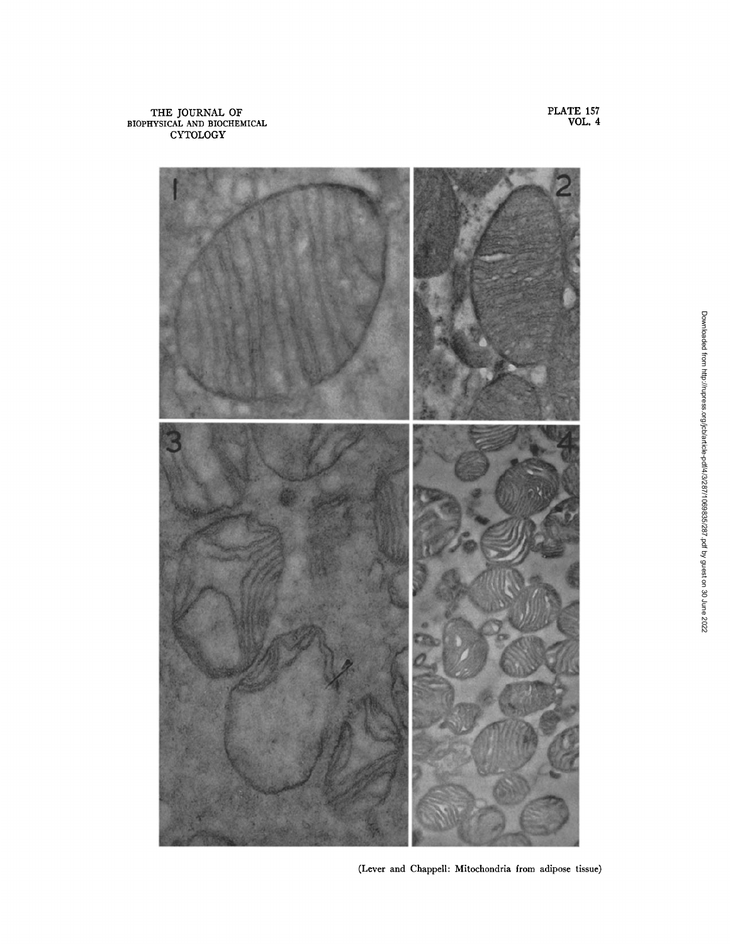THE JOURNAL OF BIOPHYSICAL AND BIOCHEMICAL CYTOLOGY



PLATE **157**  VOL. 4

(Lever and Chappell: Mitochondria from adipose tissue)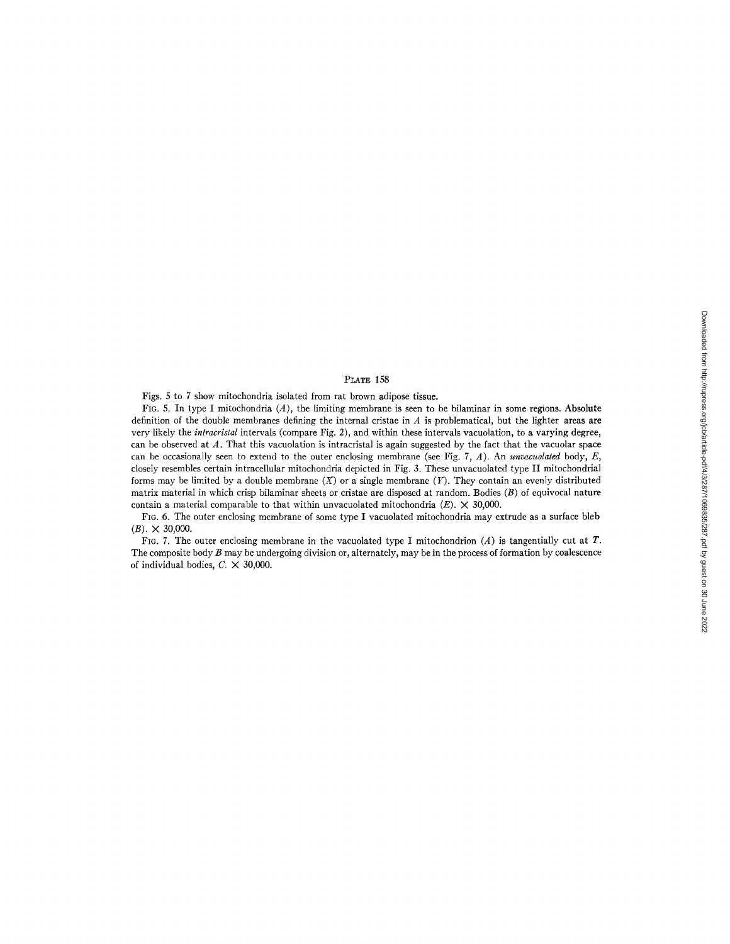# Downloaded from http://rupress.org/jcb/article-pdf/4/3/287/1069835/287.pdf by guest on 30 June 2022 Downloaded from http://rupress.org/jcb/article-pdf/4/3/287/1069835/287.pdf by guest on 30 June 2022

### PLATE 158

Figs. 5 to 7 show mitochondria isolated from rat brown adipose tissue.

Fig. 5. In type I mitochondria  $(A)$ , the limiting membrane is seen to be bilaminar in some regions. Absolute definition of the double membranes defining the internal cristae in  $A$  is problematical, but the lighter areas are very likely the *inlracristal* intervals (compare Fig. 2), and within these intervals vacuolation, to a varying degree, can be observed at  $A$ . That this vacuolation is intracristal is again suggested by the fact that the vacuolar space can be occasionally seen to extend to the outer enclosing membrane (see Fig. 7, A). An *unvacuolated* body, E, closely resembles certain intracellular mitochondria depicted in Fig. 3. These unvacuolated type II mitochondrial forms may be limited by a double membrane  $(X)$  or a single membrane  $(Y)$ . They contain an evenly distributed matrix material in which crisp bilaminar sheets or cristae are disposed at random. Bodies  $(B)$  of equivocal nature contain a material comparable to that within unvacuolated mitochondria  $(E)$ .  $\times$  30,000.

FIG. 6. The outer enclosing membrane of some type I vacuolated mitochondria may extrude as a surface bleb  $(B)$ .  $\times$  30,000.

FIG. 7. The outer enclosing membrane in the vacuolated type I mitochondrion (A) is tangentially cut at T. The composite body  $B$  may be undergoing division or, alternately, may be in the process of formation by coalescence of individual bodies,  $C. \times 30,000$ .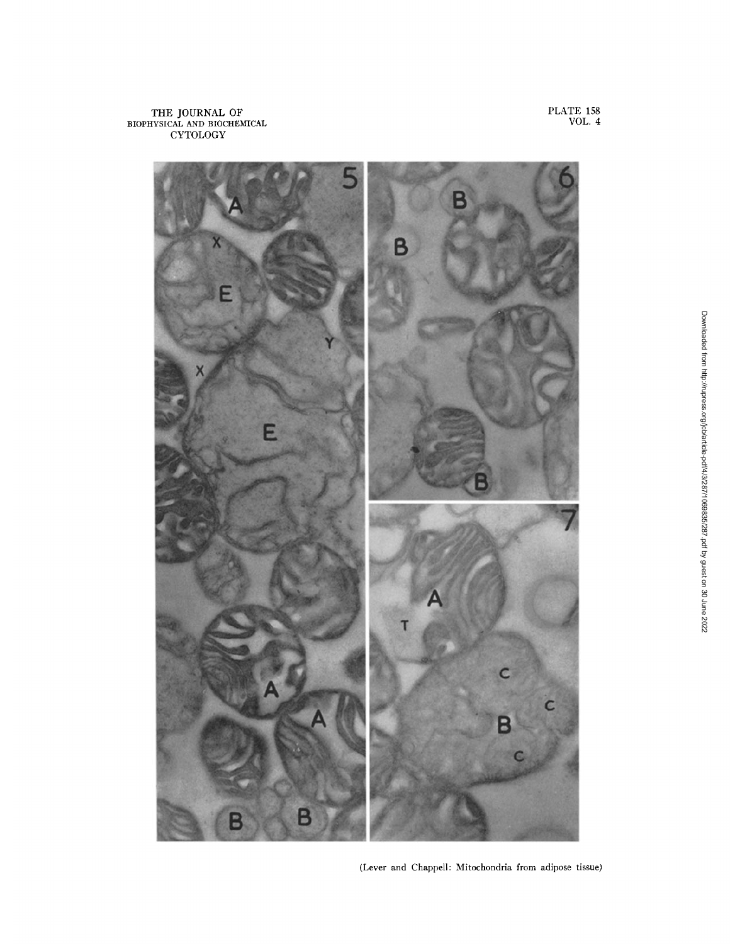### THE JOURNAL OF BIOPHYSICAL AND BIOCHEMICAL CYTOLOGY

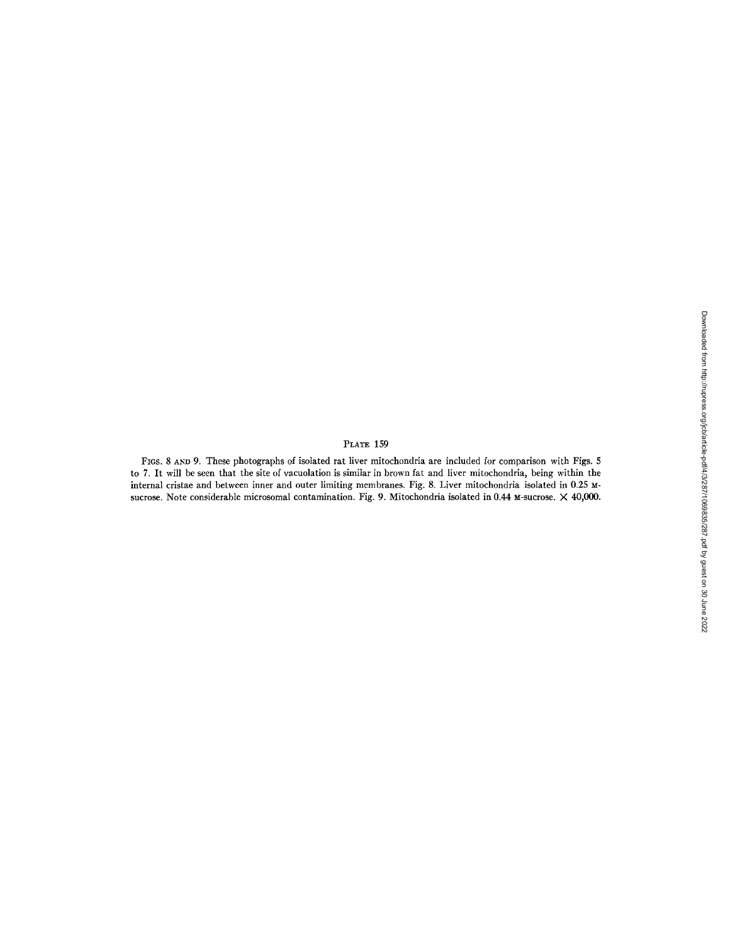# PLATE 159

FIGS. 8 AND 9. These photographs of isolated rat liver mitochondria are included for comparison with Figs. 5 to 7. It will be seen that the site of vacuolation is similar in brown fat and liver mitochondria, being within the internal cristae and between inner and outer limiting membranes. Fig. 8. Liver mitochondria isolated in 0.25 Msucrose. Note considerable microsomal contamination. Fig. 9. Mitochondria isolated in 0.44 M-sucrose. X 40,000.